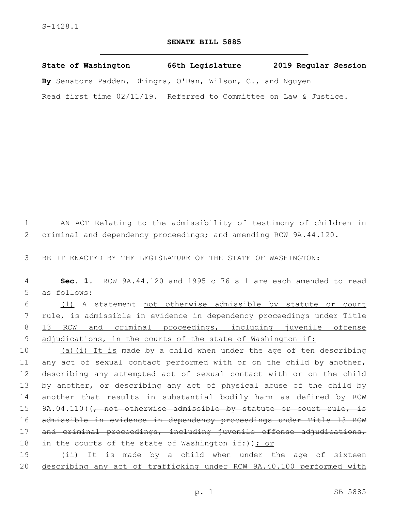## **SENATE BILL 5885**

**State of Washington 66th Legislature 2019 Regular Session By** Senators Padden, Dhingra, O'Ban, Wilson, C., and Nguyen Read first time 02/11/19. Referred to Committee on Law & Justice.

1 AN ACT Relating to the admissibility of testimony of children in 2 criminal and dependency proceedings; and amending RCW 9A.44.120. 3 BE IT ENACTED BY THE LEGISLATURE OF THE STATE OF WASHINGTON: 4 **Sec. 1.** RCW 9A.44.120 and 1995 c 76 s 1 are each amended to read 5 as follows: 6 (1) A statement not otherwise admissible by statute or court 7 rule, is admissible in evidence in dependency proceedings under Title 8 13 RCW and criminal proceedings, including juvenile offense 9 adjudications, in the courts of the state of Washington if: 10 (a)(i) It is made by a child when under the age of ten describing 11 any act of sexual contact performed with or on the child by another, 12 describing any attempted act of sexual contact with or on the child 13 by another, or describing any act of physical abuse of the child by 14 another that results in substantial bodily harm as defined by RCW 15 9A.04.110((, not otherwise admissible by statute or court rule, is 16 admissible in evidence in dependency proceedings under Title 13 RCW 17 and criminal proceedings, including juvenile offense adjudications, 18 in the courts of the state of Washington if: ) ) ; or 19 (ii) It is made by a child when under the age of sixteen 20 describing any act of trafficking under RCW 9A.40.100 performed with